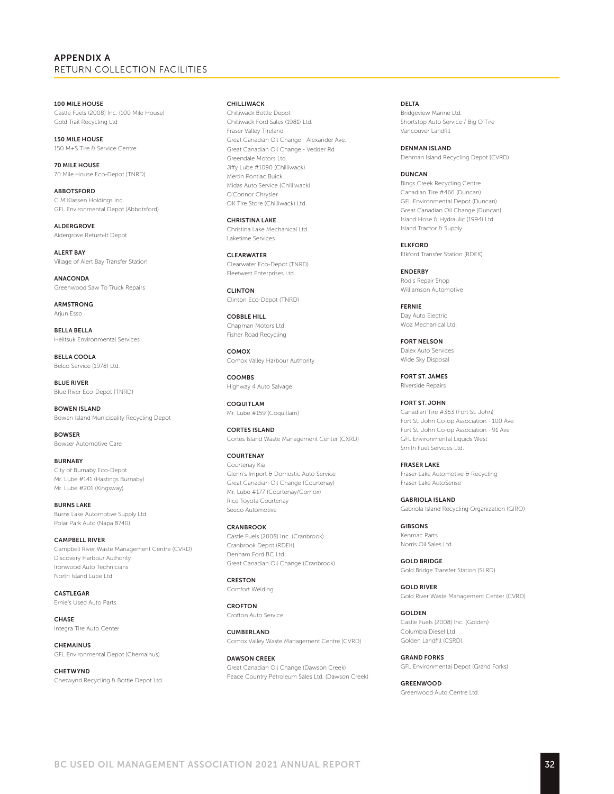## APPENDIX A RETURN COLLECTION FACILITIES

100 MILE HOUSE Castle Fuels (2008) Inc. (100 Mile House) Gold Trail Recycling Ltd

150 MILE HOUSE 150 M+S Tire & Service Centre

70 MILE HOUSE 70 Mile House Eco-Depot (TNRD)

ABBOTSFORD C M Klassen Holdings Inc. GFL Environmental Depot (Abbotsford)

ALDERGROVE Aldergrove Return-It Depot

ALERT BAY Village of Alert Bay Transfer Station

ANACONDA Greenwood Saw To Truck Repairs

ARMSTRONG Arjun Esso

BELLA BELLA Heiltsuk Environmental Services

BELLA COOLA Belco Service (1978) Ltd.

BLUE RIVER Blue River Eco-Depot (TNRD)

BOWEN ISLAND Bowen Island Municipality Recycling Depot

**BOWSER** Bowser Automotive Care

BURNABY City of Burnaby Eco-Depot Mr. Lube #141 (Hastings Burnaby) Mr. Lube #201 (Kingsway)

BURNS LAKE Burns Lake Automotive Supply Ltd. Polar Park Auto (Napa 8740)

CAMPBELL RIVER Campbell River Waste Management Centre (CVRD) Discovery Harbour Authority Ironwood Auto Technicians North Island Lube Ltd

CASTLEGAR Ernie's Used Auto Parts

CHASE Integra Tire Auto Center

**CHEMAINUS** GFL Environmental Depot (Chemainus)

CHETWYND Chetwynd Recycling & Bottle Depot Ltd.

### CHILLIWACK

Chilliwack Bottle Depot Chilliwack Ford Sales (1981) Ltd. Fraser Valley Tireland Great Canadian Oil Change - Alexander Ave. Great Canadian Oil Change - Vedder Rd Greendale Motors Ltd. Jiffy Lube #1090 (Chilliwack) Mertin Pontiac Buick Midas Auto Service (Chilliwack) O'Connor Chrysler OK Tire Store (Chilliwack) Ltd.

CHRISTINA LAKE Christina Lake Mechanical Ltd. Laketime Services

CLEARWATER Clearwater Eco-Depot (TNRD) Fleetwest Enterprises Ltd.

CLINTON Clinton Eco-Depot (TNRD)

COBBLE HILL Chapman Motors Ltd. Fisher Road Recycling

COMOX Comox Valley Harbour Authority

**COOMBS** Highway 4 Auto Salvage

COQUITLAM Mr. Lube #159 (Coquitlam)

CORTES ISLAND Cortes Island Waste Management Center (CXRD)

**COURTENAY** Courtenay Kia Glenn's Import & Domestic Auto Service Great Canadian Oil Change (Courtenay) Mr. Lube #177 (Courtenay/Comox) Rice Toyota Courtenay Seeco Automotive

**CRANBROOK** Castle Fuels (2008) Inc. (Cranbrook) Cranbrook Depot (RDEK) Denham Ford BC Ltd. Great Canadian Oil Change (Cranbrook)

CRESTON Comfort Welding

CROFTON Crofton Auto Service

CUMBERLAND Comox Valley Waste Management Centre (CVRD)

DAWSON CREEK Great Canadian Oil Change (Dawson Creek) Peace Country Petroleum Sales Ltd. (Dawson Creek) **DELTA** 

Bridgeview Marine Ltd. Shortstop Auto Service / Big O Tire Vancouver Landfill

DENMAN ISLAND Denman Island Recycling Depot (CVRD)

#### DUNCAN

Bings Creek Recycling Centre Canadian Tire #466 (Duncan) GFL Environmental Depot (Duncan) Great Canadian Oil Change (Duncan) Island Hose & Hydraulic (1994) Ltd. Island Tractor & Supply

ELKFORD Elkford Transfer Station (RDEK)

**ENDERBY** Rod's Repair Shop Williamson Automotive

FERNIE Day Auto Electric Woz Mechanical Ltd.

FORT NELSON Dalex Auto Services Wide Sky Disposal

FORT ST. JAMES Riverside Repairs

FORT ST. JOHN Canadian Tire #363 (Fort St. John) Fort St. John Co-op Association - 100 Ave Fort St. John Co-op Association - 91 Ave GFL Environmental Liquids West Smith Fuel Services Ltd.

FRASER LAKE Fraser Lake Automotive & Recycling Fraser Lake AutoSense

GABRIOLA ISLAND Gabriola Island Recycling Organization (GIRO)

GIBSONS Kenmac Parts Norris Oil Sales Ltd.

GOLD BRIDGE Gold Bridge Transfer Station (SLRD)

GOLD RIVER Gold River Waste Management Center (CVRD)

**GOLDEN** Castle Fuels (2008) Inc. (Golden) Columbia Diesel Ltd. Golden Landfill (CSRD)

GRAND FORKS GFL Environmental Depot (Grand Forks)

**GREENWOOD** Greenwood Auto Centre Ltd.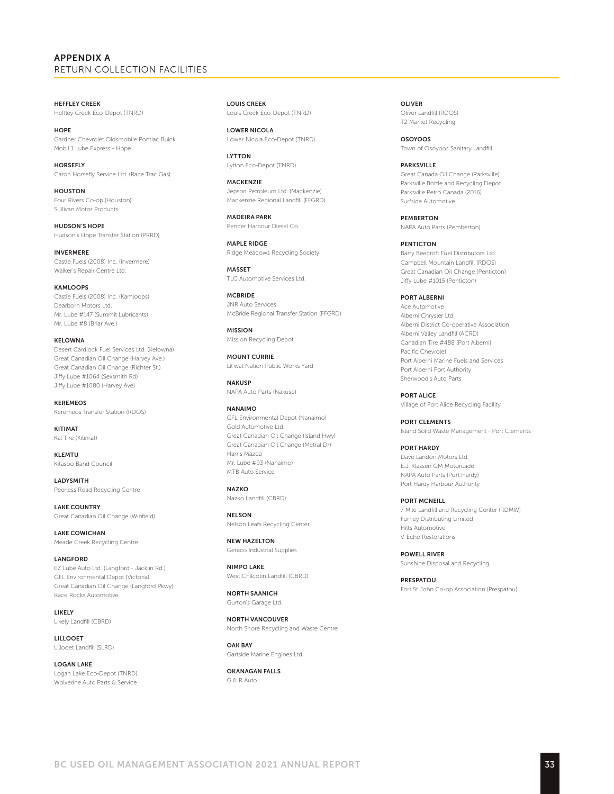# APPENDIX A RETURN COLLECTION FACILITIES

HEFFLEY CREEK Heffley Creek Eco-Depot (TNRD)

**HOPE** Gardner Chevrolet Oldsmobile Pontiac Buick Mobil 1 Lube Express - Hope

**HORSEFLY** Caron Horsefly Service Ltd. (Race Trac Gas)

HOUSTON Four Rivers Co-op (Houston) Sullivan Motor Products

HUDSON'S HOPE Hudson's Hope Transfer Station (PRRD)

INVERMERE Castle Fuels (2008) Inc. (Invermere) Walker's Repair Centre Ltd.

KAMLOOPS

Castle Fuels (2008) Inc. (Kamloops) Dearborn Motors Ltd. Mr. Lube #147 (Summit Lubricants) Mr. Lube #8 (Briar Ave.)

KELOWNA Desert Cardlock Fuel Services Ltd. (Kelowna) Great Canadian Oil Change (Harvey Ave.) Great Canadian Oil Change (Richter St.) Jiffy Lube #1064 (Sexsmith Rd) Jiffy Lube #1080 (Harvey Ave)

KEREMEOS Keremeos Transfer Station (RDOS)

**KITIMAT** Kal Tire (Kitimat)

KLEMTU Kitasoo Band Council

LADYSMITH Peerless Road Recycling Centre

LAKE COUNTRY Great Canadian Oil Change (Winfield)

LAKE COWICHAN Meade Creek Recycling Centre

LANGFORD EZ Lube Auto Ltd. (Langford - Jacklin Rd.) GFL Environmental Depot (Victoria) Great Canadian Oil Change (Langford Pkwy) Race Rocks Automotive

LIKELY Likely Landfill (CBRD)

LILLOOET Lillooet Landfill (SLRD)

LOGAN LAKE Logan Lake Eco-Depot (TNRD) Wolverine Auto Parts & Service

LOUIS CREEK Louis Creek Eco-Depot (TNRD)

LOWER NICOLA Lower Nicola Eco-Depot (TNRD)

LYTTON Lytton Eco-Depot (TNRD)

**MACKENZIE** Jepson Petroleum Ltd. (Mackenzie) Mackenzie Regional Landfill (FFGRD)

MADEIRA PARK Pender Harbour Diesel Co.

MAPLE RIDGE Ridge Meadows Recycling Society

**MASSET** TLC Automotive Services Ltd.

**MCBRIDE** JNR Auto Services McBride Regional Transfer Station (FFGRD)

MISSION Mission Recycling Depot

MOUNT CURRIE Lil'wat Nation Public Works Yard

**NAKUSP** NAPA Auto Parts (Nakusp)

NANAIMO GFL Environmental Depot (Nanaimo) Gold Automotive Ltd. Great Canadian Oil Change (Island Hwy) Great Canadian Oil Change (Metral Dr) Harris Mazda Mr. Lube #93 (Nanaimo) MTB Auto Service

**NAZKO** Nazko Landfill (CBRD)

NELSON Nelson Leafs Recycling Center

NEW HAZELTON Geraco Industrial Supplies

NIMPO LAKE West Chilcotin Landfill (CBRD)

NORTH SAANICH Gurton's Garage Ltd.

NORTH VANCOUVER North Shore Recycling and Waste Centre

OAK BAY Gartside Marine Engines Ltd.

OKANAGAN FALLS G & R Auto

OLIVER Oliver Landfill (RDOS) T2 Market Recycling

OSOYOOS Town of Osoyoos Sanitary Landfill

PARKSVILLE Great Canada Oil Change (Parksville) Parksville Bottle and Recycling Depot Parksville Petro Canada (2016) Surfside Automotive

PEMBERTON NAPA Auto Parts (Pemberton)

PENTICTON Barry Beecroft Fuel Distributors Ltd. Campbell Mountain Landfill (RDOS) Great Canadian Oil Change (Penticton) Jiffy Lube #1015 (Penticton)

PORT ALBERNI Ace Automotive Alberni Chrysler Ltd. Alberni District Co-operative Association Alberni Valley Landfill (ACRD) Canadian Tire #488 (Port Alberni) Pacific Chevrolet Port Alberni Marine Fuels and Services Port Alberni Port Authority Sherwood's Auto Parts

PORT ALICE Village of Port Alice Recycling Facility

PORT CLEMENTS Island Solid Waste Management - Port Clements

PORT HARDY Dave Landon Motors Ltd. E.J. Klassen GM Motorcade NAPA Auto Parts (Port Hardy) Port Hardy Harbour Authority

PORT MCNEILL 7 Mile Landfill and Recycling Center (RDMW) Furney Distributing Limited Hilts Automotive V-Echo Restorations

POWELL RIVER Sunshine Disposal and Recycling

PRESPATOU Fort St John Co-op Association (Prespatou)